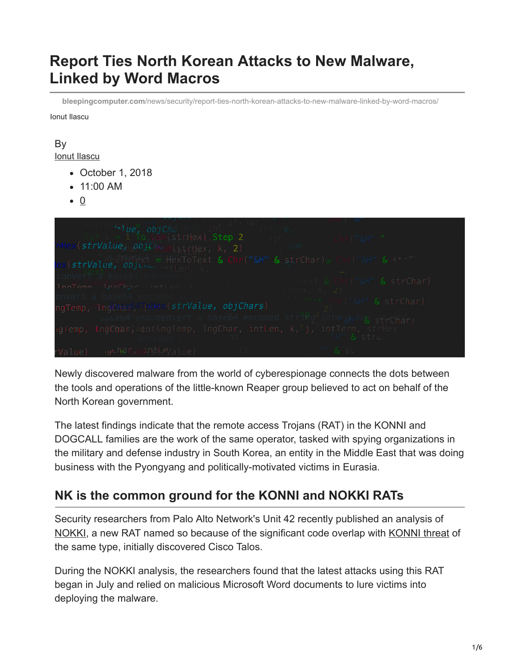# **Report Ties North Korean Attacks to New Malware, Linked by Word Macros**

**bleepingcomputer.com**[/news/security/report-ties-north-korean-attacks-to-new-malware-linked-by-word-macros/](https://www.bleepingcomputer.com/news/security/report-ties-north-korean-attacks-to-new-malware-linked-by-word-macros/)

Ionut Ilascu

#### By [Ionut Ilascu](https://www.bleepingcomputer.com/author/ionut-ilascu/)

- October 1, 2018
- 11:00 AM
- $\bullet$  0



Newly discovered malware from the world of cyberespionage connects the dots between the tools and operations of the little-known Reaper group believed to act on behalf of the North Korean government.

The latest findings indicate that the remote access Trojans (RAT) in the KONNI and DOGCALL families are the work of the same operator, tasked with spying organizations in the military and defense industry in South Korea, an entity in the Middle East that was doing business with the Pyongyang and politically-motivated victims in Eurasia.

## **NK is the common ground for the KONNI and NOKKI RATs**

Security researchers from Palo Alto Network's Unit 42 recently published an analysis of [NOKKI](https://researchcenter.paloaltonetworks.com/2018/09/unit42-new-konni-malware-attacking-eurasia-southeast-asia/), a new RAT named so because of the significant code overlap with [KONNI threat](https://www.bleepingcomputer.com/news/security/malware-targets-north-korea-for-once/) of the same type, initially discovered Cisco Talos.

During the NOKKI analysis, the researchers found that the latest attacks using this RAT began in July and relied on malicious Microsoft Word documents to lure victims into deploying the malware.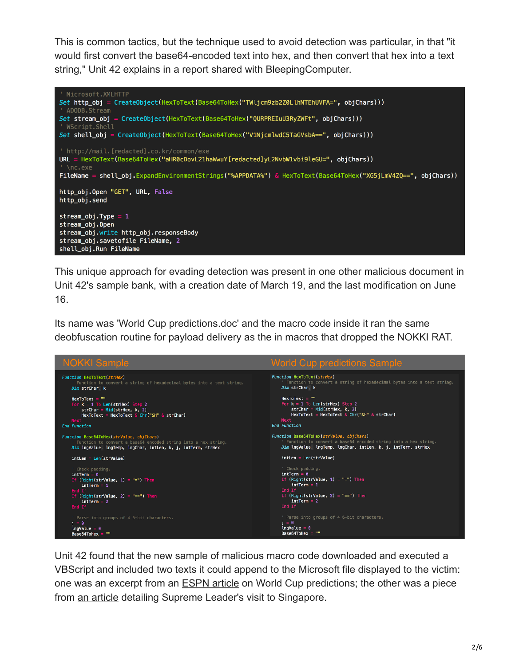This is common tactics, but the technique used to avoid detection was particular, in that "it would first convert the base64-encoded text into hex, and then convert that hex into a text string," Unit 42 explains in a report shared with BleepingComputer.



This unique approach for evading detection was present in one other malicious document in Unit 42's sample bank, with a creation date of March 19, and the last modification on June 16.

Its name was 'World Cup predictions.doc' and the macro code inside it ran the same deobfuscation routine for payload delivery as the in macros that dropped the NOKKI RAT.



Unit 42 found that the new sample of malicious macro code downloaded and executed a VBScript and included two texts it could append to the Microsoft file displayed to the victim: one was an excerpt from an **ESPN** article on World Cup predictions; the other was a piece from [an article](http://www.thedrive.com/the-war-zone/21430/procession-of-chinese-and-north-korean-jets-have-airlifted-kim-and-company-to-singapore) detailing Supreme Leader's visit to Singapore.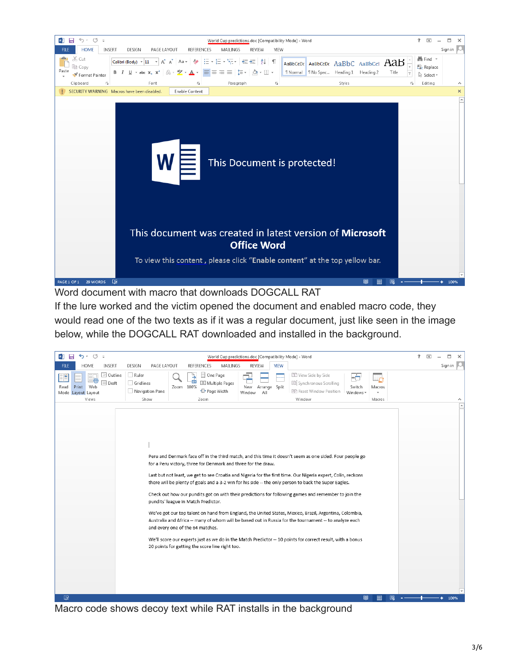

Word document with macro that downloads DOGCALL RAT

If the lure worked and the victim opened the document and enabled macro code, they would read one of the two texts as if it was a regular document, just like seen in the image below, while the DOGCALL RAT downloaded and installed in the background.



Macro code shows decoy text while RAT installs in the background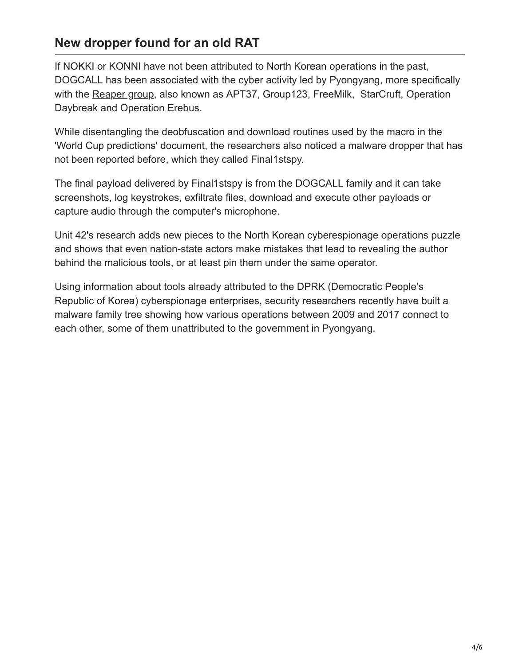## **New dropper found for an old RAT**

If NOKKI or KONNI have not been attributed to North Korean operations in the past, DOGCALL has been associated with the cyber activity led by Pyongyang, more specifically with the [Reaper group](https://www.bleepingcomputer.com/news/security/a-new-north-korean-hacker-group-is-making-a-name-for-itself/), also known as APT37, Group123, FreeMilk, StarCruft, Operation Daybreak and Operation Erebus.

While disentangling the deobfuscation and download routines used by the macro in the 'World Cup predictions' document, the researchers also noticed a malware dropper that has not been reported before, which they called Final1stspy.

The final payload delivered by Final1stspy is from the DOGCALL family and it can take screenshots, log keystrokes, exfiltrate files, download and execute other payloads or capture audio through the computer's microphone.

Unit 42's research adds new pieces to the North Korean cyberespionage operations puzzle and shows that even nation-state actors make mistakes that lead to revealing the author behind the malicious tools, or at least pin them under the same operator.

Using information about tools already attributed to the DPRK (Democratic People's Republic of Korea) cyberspionage enterprises, security researchers recently have built a [malware family tree](https://www.bleepingcomputer.com/news/security/a-first-look-at-the-north-korean-malware-family-tree/) showing how various operations between 2009 and 2017 connect to each other, some of them unattributed to the government in Pyongyang.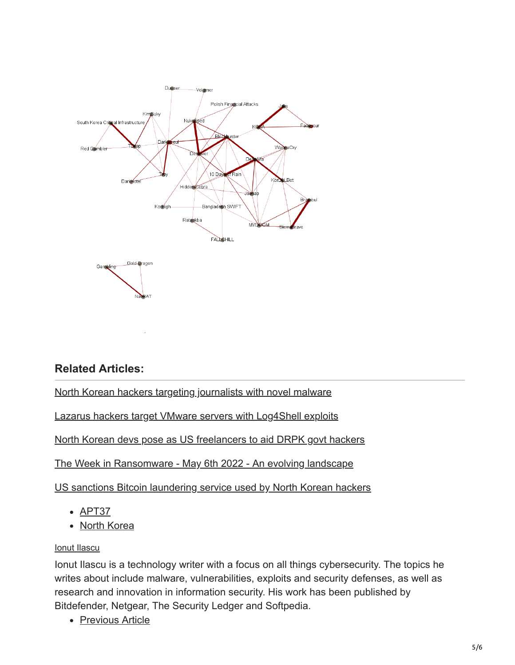

### **Related Articles:**

[North Korean hackers targeting journalists with novel malware](https://www.bleepingcomputer.com/news/security/north-korean-hackers-targeting-journalists-with-novel-malware/)

[Lazarus hackers target VMware servers with Log4Shell exploits](https://www.bleepingcomputer.com/news/security/lazarus-hackers-target-vmware-servers-with-log4shell-exploits/)

[North Korean devs pose as US freelancers to aid DRPK govt hackers](https://www.bleepingcomputer.com/news/security/north-korean-devs-pose-as-us-freelancers-to-aid-drpk-govt-hackers/)

[The Week in Ransomware - May 6th 2022 - An evolving landscape](https://www.bleepingcomputer.com/news/security/the-week-in-ransomware-may-6th-2022-an-evolving-landscape/)

[US sanctions Bitcoin laundering service used by North Korean hackers](https://www.bleepingcomputer.com/news/security/us-sanctions-bitcoin-laundering-service-used-by-north-korean-hackers/)

- $\bullet$  [APT37](https://www.bleepingcomputer.com/tag/apt37/)
- [North Korea](https://www.bleepingcomputer.com/tag/north-korea/)

#### [Ionut Ilascu](https://www.bleepingcomputer.com/author/ionut-ilascu/)

Ionut Ilascu is a technology writer with a focus on all things cybersecurity. The topics he writes about include malware, vulnerabilities, exploits and security defenses, as well as research and innovation in information security. His work has been published by Bitdefender, Netgear, The Security Ledger and Softpedia.

• [Previous Article](https://www.bleepingcomputer.com/news/security/tesco-bank-fined-16-million-by-fca-for-2016-cyber-attack/)